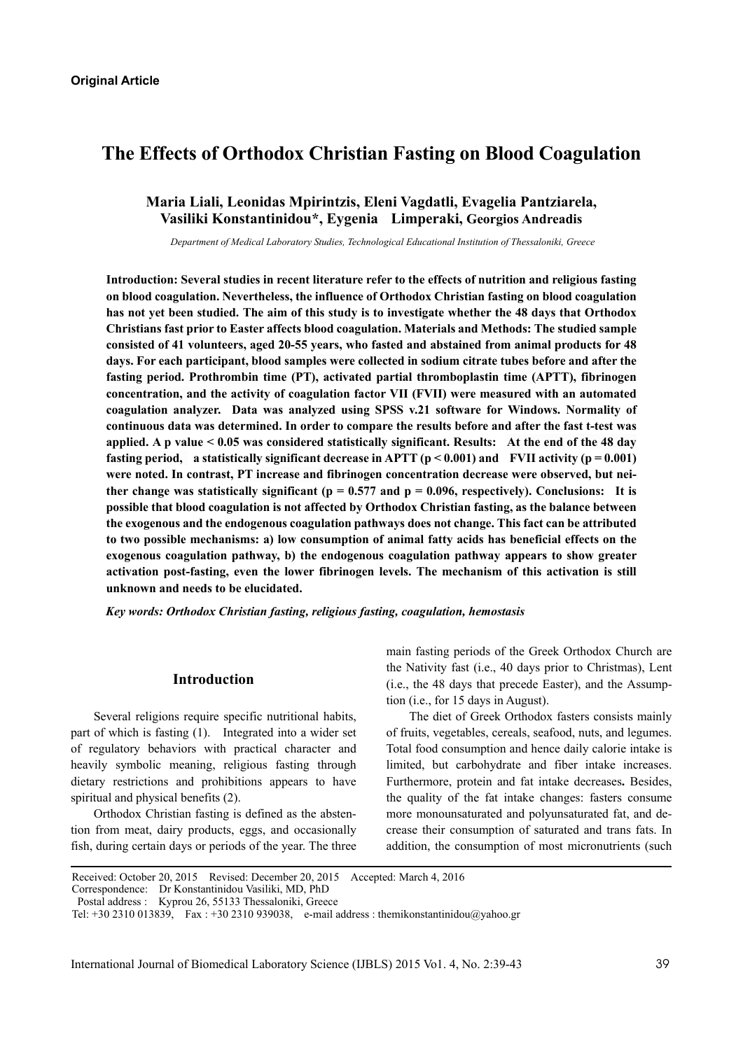# **The Effects of Orthodox Christian Fasting on Blood Coagulation**

# **Maria Liali, Leonidas Mpirintzis, Eleni Vagdatli, Evagelia Pantziarela, Vasiliki Konstantinidou\*, Eygenia Limperaki, Georgios Andreadis**

*Department of Medical Laboratory Studies, Technological Educational Institution of Thessaloniki, Greece* 

**Introduction: Several studies in recent literature refer to the effects of nutrition and religious fasting on blood coagulation. Nevertheless, the influence of Orthodox Christian fasting on blood coagulation has not yet been studied. The aim of this study is to investigate whether the 48 days that Orthodox Christians fast prior to Easter affects blood coagulation. Materials and Methods: The studied sample consisted of 41 volunteers, aged 20-55 years, who fasted and abstained from animal products for 48 days. For each participant, blood samples were collected in sodium citrate tubes before and after the fasting period. Prothrombin time (PT), activated partial thromboplastin time (APTT), fibrinogen concentration, and the activity of coagulation factor VII (FVII) were measured with an automated coagulation analyzer. Data was analyzed using SPSS v.21 software for Windows. Normality of continuous data was determined. In order to compare the results before and after the fast t-test was applied. A p value < 0.05 was considered statistically significant. Results: At the end of the 48 day fasting period,** a statistically significant decrease in APTT ( $p < 0.001$ ) and FVII activity ( $p = 0.001$ ) **were noted. In contrast, PT increase and fibrinogen concentration decrease were observed, but nei**ther change was statistically significant ( $p = 0.577$  and  $p = 0.096$ , respectively). Conclusions: It is **possible that blood coagulation is not affected by Orthodox Christian fasting, as the balance between the exogenous and the endogenous coagulation pathways does not change. This fact can be attributed to two possible mechanisms: a) low consumption of animal fatty acids has beneficial effects on the exogenous coagulation pathway, b) the endogenous coagulation pathway appears to show greater activation post-fasting, even the lower fibrinogen levels. The mechanism of this activation is still unknown and needs to be elucidated.** 

*Key words: Orthodox Christian fasting, religious fasting, coagulation, hemostasis* 

#### **Introduction**

Several religions require specific nutritional habits, part of which is fasting (1). Integrated into a wider set of regulatory behaviors with practical character and heavily symbolic meaning, religious fasting through dietary restrictions and prohibitions appears to have spiritual and physical benefits (2).

Orthodox Christian fasting is defined as the abstention from meat, dairy products, eggs, and occasionally fish, during certain days or periods of the year. The three main fasting periods of the Greek Orthodox Church are the Nativity fast (i.e., 40 days prior to Christmas), Lent (i.e., the 48 days that precede Easter), and the Assumption (i.e., for 15 days in August).

The diet of Greek Orthodox fasters consists mainly of fruits, vegetables, cereals, seafood, nuts, and legumes. Total food consumption and hence daily calorie intake is limited, but carbohydrate and fiber intake increases. Furthermore, protein and fat intake decreases**.** Besides, the quality of the fat intake changes: fasters consume more monounsaturated and polyunsaturated fat, and decrease their consumption of saturated and trans fats. In addition, the consumption of most micronutrients (such

Received: October 20, 2015 Revised: December 20, 2015 Accepted: March 4, 2016

Correspondence: Dr Konstantinidou Vasiliki, MD, PhD

Postal address : Kyprou 26, 55133 Thessaloniki, Greece

Tel: +30 2310 013839, Fax : +30 2310 939038, e-mail address : themikonstantinidou@yahoo.gr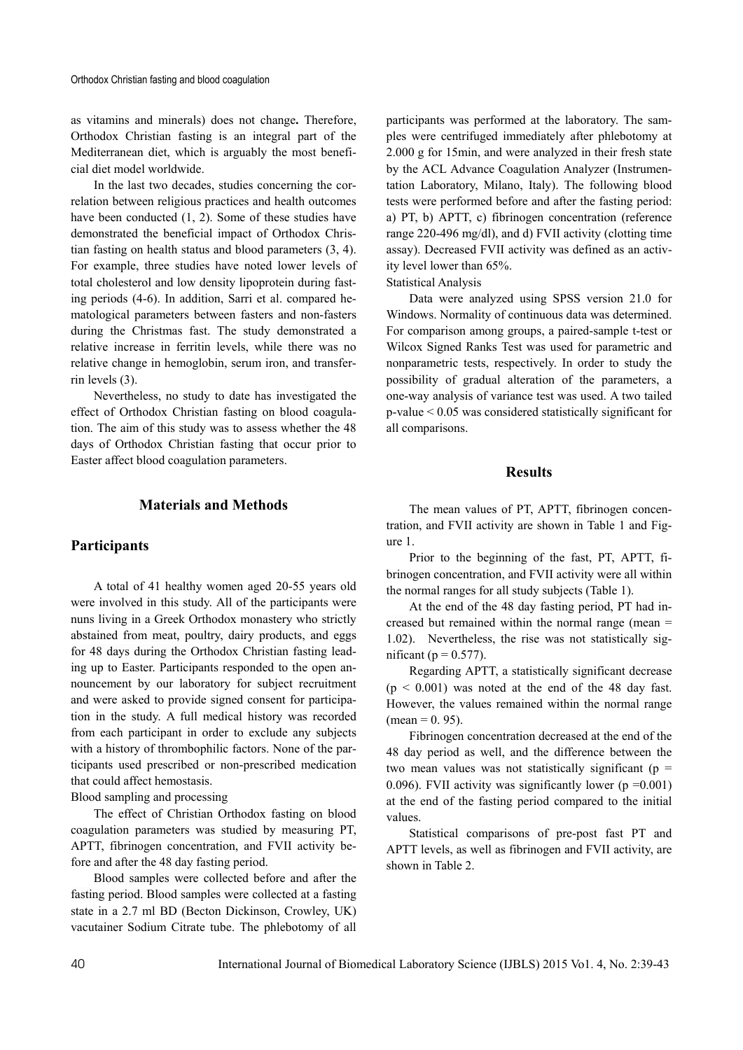as vitamins and minerals) does not change**.** Therefore, Orthodox Christian fasting is an integral part of the Mediterranean diet, which is arguably the most beneficial diet model worldwide.

In the last two decades, studies concerning the correlation between religious practices and health outcomes have been conducted (1, 2). Some of these studies have demonstrated the beneficial impact of Orthodox Christian fasting on health status and blood parameters (3, 4). For example, three studies have noted lower levels of total cholesterol and low density lipoprotein during fasting periods (4-6). In addition, Sarri et al. compared hematological parameters between fasters and non-fasters during the Christmas fast. The study demonstrated a relative increase in ferritin levels, while there was no relative change in hemoglobin, serum iron, and transferrin levels (3).

Nevertheless, no study to date has investigated the effect of Orthodox Christian fasting on blood coagulation. The aim of this study was to assess whether the 48 days of Orthodox Christian fasting that occur prior to Easter affect blood coagulation parameters.

## **Materials and Methods**

#### **Participants**

A total of 41 healthy women aged 20-55 years old were involved in this study. All of the participants were nuns living in a Greek Orthodox monastery who strictly abstained from meat, poultry, dairy products, and eggs for 48 days during the Orthodox Christian fasting leading up to Easter. Participants responded to the open announcement by our laboratory for subject recruitment and were asked to provide signed consent for participation in the study. A full medical history was recorded from each participant in order to exclude any subjects with a history of thrombophilic factors. None of the participants used prescribed or non-prescribed medication that could affect hemostasis.

Blood sampling and processing

The effect of Christian Orthodox fasting on blood coagulation parameters was studied by measuring PT, APTT, fibrinogen concentration, and FVII activity before and after the 48 day fasting period.

Blood samples were collected before and after the fasting period. Blood samples were collected at a fasting state in a 2.7 ml BD (Becton Dickinson, Crowley, UK) vacutainer Sodium Citrate tube. The phlebotomy of all

participants was performed at the laboratory. The samples were centrifuged immediately after phlebotomy at 2.000 g for 15min, and were analyzed in their fresh state by the ACL Advance Coagulation Analyzer (Instrumentation Laboratory, Milano, Italy). The following blood tests were performed before and after the fasting period: a) PT, b) APTT, c) fibrinogen concentration (reference range 220-496 mg/dl), and d) FVII activity (clotting time assay). Decreased FVII activity was defined as an activity level lower than 65%.

Statistical Analysis

Data were analyzed using SPSS version 21.0 for Windows. Normality of continuous data was determined. For comparison among groups, a paired-sample t-test or Wilcox Signed Ranks Test was used for parametric and nonparametric tests, respectively. In order to study the possibility of gradual alteration of the parameters, a one-way analysis of variance test was used. A two tailed p-value < 0.05 was considered statistically significant for all comparisons.

#### **Results**

The mean values of PT, APTT, fibrinogen concentration, and FVII activity are shown in Table 1 and Figure 1.

Prior to the beginning of the fast, PT, APTT, fibrinogen concentration, and FVII activity were all within the normal ranges for all study subjects (Table 1).

At the end of the 48 day fasting period, PT had increased but remained within the normal range (mean = 1.02). Nevertheless, the rise was not statistically significant ( $p = 0.577$ ).

Regarding APTT, a statistically significant decrease  $(p < 0.001)$  was noted at the end of the 48 day fast. However, the values remained within the normal range  $(mean = 0.95)$ .

Fibrinogen concentration decreased at the end of the 48 day period as well, and the difference between the two mean values was not statistically significant ( $p =$ 0.096). FVII activity was significantly lower ( $p = 0.001$ ) at the end of the fasting period compared to the initial values.

Statistical comparisons of pre-post fast PT and APTT levels, as well as fibrinogen and FVII activity, are shown in Table 2.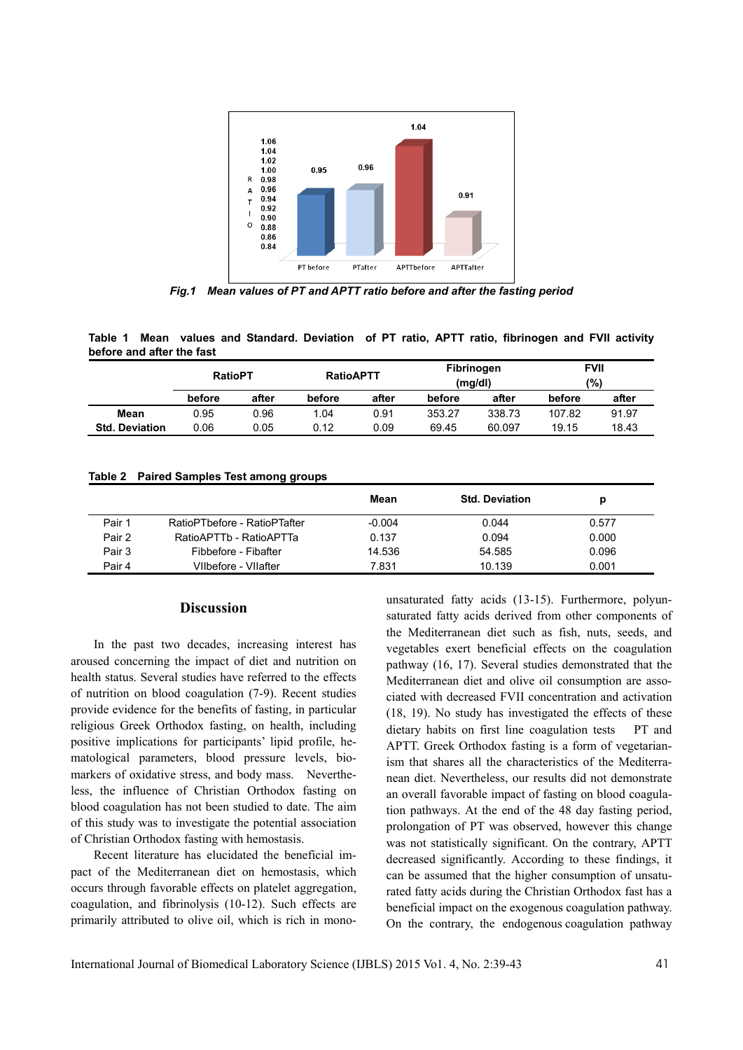

*Fig.1 Mean values of PT and APTT ratio before and after the fasting period* 

**Table 1 Mean values and Standard. Deviation of PT ratio, APTT ratio, fibrinogen and FVII activity before and after the fast** 

|                       | <b>RatioPT</b> |       | <b>RatioAPTT</b> |       | Fibrinogen<br>(mq/dl) |        | <b>FVII</b><br>(%) |       |
|-----------------------|----------------|-------|------------------|-------|-----------------------|--------|--------------------|-------|
|                       | before         | after | before           | after | before                | after  | before             | after |
| Mean                  | 0.95           | 0.96  | 1.04             | 0.91  | 353.27                | 338.73 | 107.82             | 91.97 |
| <b>Std. Deviation</b> | 0.06           | 0.05  | 0.12             | 0.09  | 69.45                 | 60.097 | 19.15              | 18.43 |

| Table 2 Paired Samples Test among groups |  |  |  |
|------------------------------------------|--|--|--|
|------------------------------------------|--|--|--|

|        |                              | Mean     | <b>Std. Deviation</b> | р     |
|--------|------------------------------|----------|-----------------------|-------|
| Pair 1 | RatioPTbefore - RatioPTafter | $-0.004$ | 0.044                 | 0.577 |
| Pair 2 | RatioAPTTb - RatioAPTTa      | 0.137    | 0.094                 | 0.000 |
| Pair 3 | Fibbefore - Fibafter         | 14.536   | 54.585                | 0.096 |
| Pair 4 | Vilbefore - Vilafter         | 7.831    | 10.139                | 0.001 |

## **Discussion**

In the past two decades, increasing interest has aroused concerning the impact of diet and nutrition on health status. Several studies have referred to the effects of nutrition on blood coagulation (7-9). Recent studies provide evidence for the benefits of fasting, in particular religious Greek Orthodox fasting, on health, including positive implications for participants' lipid profile, hematological parameters, blood pressure levels, biomarkers of oxidative stress, and body mass. Nevertheless, the influence of Christian Orthodox fasting on blood coagulation has not been studied to date. The aim of this study was to investigate the potential association of Christian Orthodox fasting with hemostasis.

Recent literature has elucidated the beneficial impact of the Mediterranean diet on hemostasis, which occurs through favorable effects on platelet aggregation, coagulation, and fibrinolysis (10-12). Such effects are primarily attributed to olive oil, which is rich in monounsaturated fatty acids (13-15). Furthermore, polyunsaturated fatty acids derived from other components of the Mediterranean diet such as fish, nuts, seeds, and vegetables exert beneficial effects on the coagulation pathway (16, 17). Several studies demonstrated that the Mediterranean diet and olive oil consumption are associated with decreased FVII concentration and activation (18, 19). No study has investigated the effects of these dietary habits on first line coagulation tests PT and APTT. Greek Orthodox fasting is a form of vegetarianism that shares all the characteristics of the Mediterranean diet. Nevertheless, our results did not demonstrate an overall favorable impact of fasting on blood coagulation pathways. At the end of the 48 day fasting period, prolongation of PT was observed, however this change was not statistically significant. On the contrary, APTT decreased significantly. According to these findings, it can be assumed that the higher consumption of unsaturated fatty acids during the Christian Orthodox fast has a beneficial impact on the exogenous coagulation pathway. On the contrary, the endogenous coagulation pathway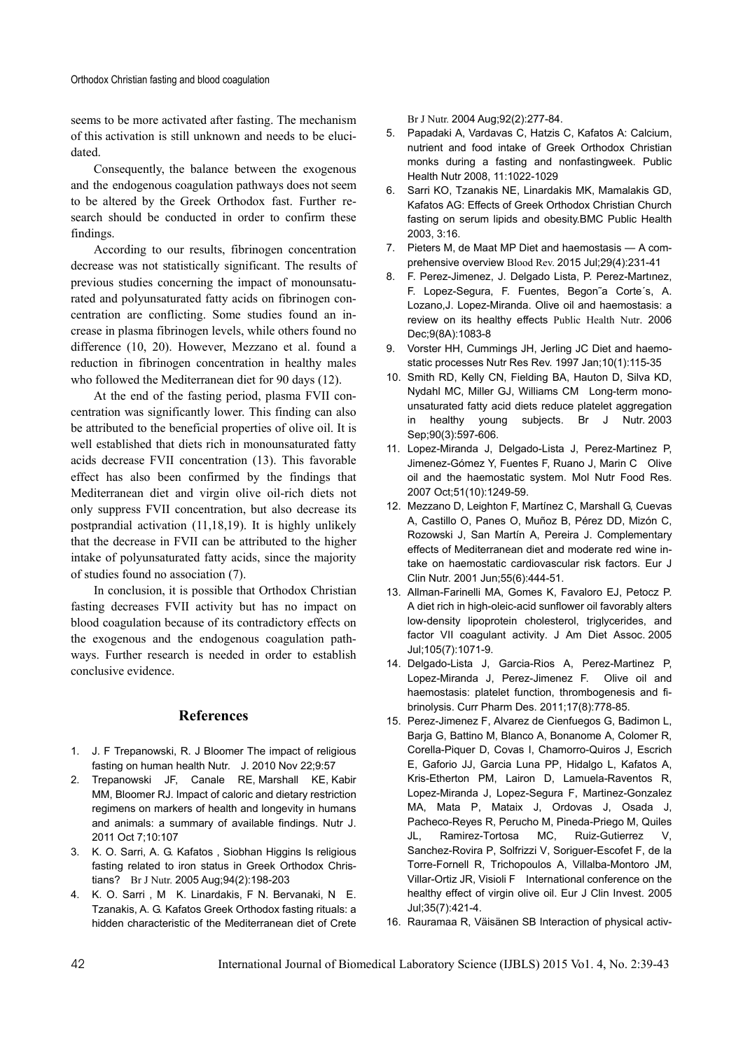seems to be more activated after fasting. The mechanism of this activation is still unknown and needs to be elucidated.

Consequently, the balance between the exogenous and the endogenous coagulation pathways does not seem to be altered by the Greek Orthodox fast. Further research should be conducted in order to confirm these findings.

According to our results, fibrinogen concentration decrease was not statistically significant. The results of previous studies concerning the impact of monounsaturated and polyunsaturated fatty acids on fibrinogen concentration are conflicting. Some studies found an increase in plasma fibrinogen levels, while others found no difference (10, 20). However, Mezzano et al. found a reduction in fibrinogen concentration in healthy males who followed the Mediterranean diet for 90 days (12).

At the end of the fasting period, plasma FVII concentration was significantly lower. This finding can also be attributed to the beneficial properties of olive oil. It is well established that diets rich in monounsaturated fatty acids decrease FVII concentration (13). This favorable effect has also been confirmed by the findings that Mediterranean diet and virgin olive oil-rich diets not only suppress FVII concentration, but also decrease its postprandial activation (11,18,19). It is highly unlikely that the decrease in FVII can be attributed to the higher intake of polyunsaturated fatty acids, since the majority of studies found no association (7).

In conclusion, it is possible that Orthodox Christian fasting decreases FVII activity but has no impact on blood coagulation because of its contradictory effects on the exogenous and the endogenous coagulation pathways. Further research is needed in order to establish conclusive evidence.

### **References**

- 1. J. F Trepanowski, R. J Bloomer The impact of religious fasting on human health Nutr. J. 2010 Nov 22;9:57
- 2. Trepanowski JF, Canale RE, Marshall KE, Kabir MM, Bloomer RJ. Impact of caloric and dietary restriction regimens on markers of health and longevity in humans and animals: a summary of available findings. Nutr J. 2011 Oct 7;10:107
- 3. K. O. Sarri, A. G. Kafatos , Siobhan Higgins Is religious fasting related to iron status in Greek Orthodox Christians? Br J Nutr. 2005 Aug;94(2):198-203
- 4. K. O. Sarri , M K. Linardakis, F N. Bervanaki, N E. Tzanakis, A. G. Kafatos Greek Orthodox fasting rituals: a hidden characteristic of the Mediterranean diet of Crete

Br J Nutr. 2004 Aug;92(2):277-84.

- 5. Papadaki A, Vardavas C, Hatzis C, Kafatos A: Calcium, nutrient and food intake of Greek Orthodox Christian monks during a fasting and nonfastingweek. Public Health Nutr 2008, 11:1022-1029
- 6. Sarri KO, Tzanakis NE, Linardakis MK, Mamalakis GD, Kafatos AG: Effects of Greek Orthodox Christian Church fasting on serum lipids and obesity.BMC Public Health 2003, 3:16.
- 7. Pieters M, de Maat MP Diet and haemostasis A comprehensive overview Blood Rev. 2015 Jul;29(4):231-41
- 8. F. Perez-Jimenez, J. Delgado Lista, P. Perez-Martınez, F. Lopez-Segura, F. Fuentes, Begon˜a Corte´s, A. Lozano,J. Lopez-Miranda. Olive oil and haemostasis: a review on its healthy effects Public Health Nutr. 2006 Dec;9(8A):1083-8
- 9. Vorster HH, Cummings JH, Jerling JC Diet and haemostatic processes Nutr Res Rev. 1997 Jan;10(1):115-35
- 10. Smith RD, Kelly CN, Fielding BA, Hauton D, Silva KD, Nydahl MC, Miller GJ, Williams CM Long-term monounsaturated fatty acid diets reduce platelet aggregation in healthy young subjects. Br J Nutr. 2003 Sep;90(3):597-606.
- 11. Lopez-Miranda J, Delgado-Lista J, Perez-Martinez P, Jimenez-Gómez Y, Fuentes F, Ruano J, Marin C Olive oil and the haemostatic system. Mol Nutr Food Res. 2007 Oct;51(10):1249-59.
- 12. Mezzano D, Leighton F, Martínez C, Marshall G, Cuevas A, Castillo O, Panes O, Muñoz B, Pérez DD, Mizón C, Rozowski J, San Martín A, Pereira J. Complementary effects of Mediterranean diet and moderate red wine intake on haemostatic cardiovascular risk factors. Eur J Clin Nutr. 2001 Jun;55(6):444-51.
- 13. Allman-Farinelli MA, Gomes K, Favaloro EJ, Petocz P. A diet rich in high-oleic-acid sunflower oil favorably alters low-density lipoprotein cholesterol, triglycerides, and factor VII coagulant activity. J Am Diet Assoc. 2005 Jul;105(7):1071-9.
- 14. Delgado-Lista J, Garcia-Rios A, Perez-Martinez P, Lopez-Miranda J, Perez-Jimenez F. Olive oil and haemostasis: platelet function, thrombogenesis and fibrinolysis. Curr Pharm Des. 2011;17(8):778-85.
- 15. Perez-Jimenez F, Alvarez de Cienfuegos G, Badimon L, Barja G, Battino M, Blanco A, Bonanome A, Colomer R, Corella-Piquer D, Covas I, Chamorro-Quiros J, Escrich E, Gaforio JJ, Garcia Luna PP, Hidalgo L, Kafatos A, Kris-Etherton PM, Lairon D, Lamuela-Raventos R, Lopez-Miranda J, Lopez-Segura F, Martinez-Gonzalez MA, Mata P, Mataix J, Ordovas J, Osada J, Pacheco-Reyes R, Perucho M, Pineda-Priego M, Quiles JL, Ramirez-Tortosa MC, Ruiz-Gutierrez V, Sanchez-Rovira P, Solfrizzi V, Soriguer-Escofet F, de la Torre-Fornell R, Trichopoulos A, Villalba-Montoro JM, Villar-Ortiz JR, Visioli F International conference on the healthy effect of virgin olive oil. Eur J Clin Invest. 2005 Jul;35(7):421-4.
- 16. Rauramaa R, Väisänen SB Interaction of physical activ-